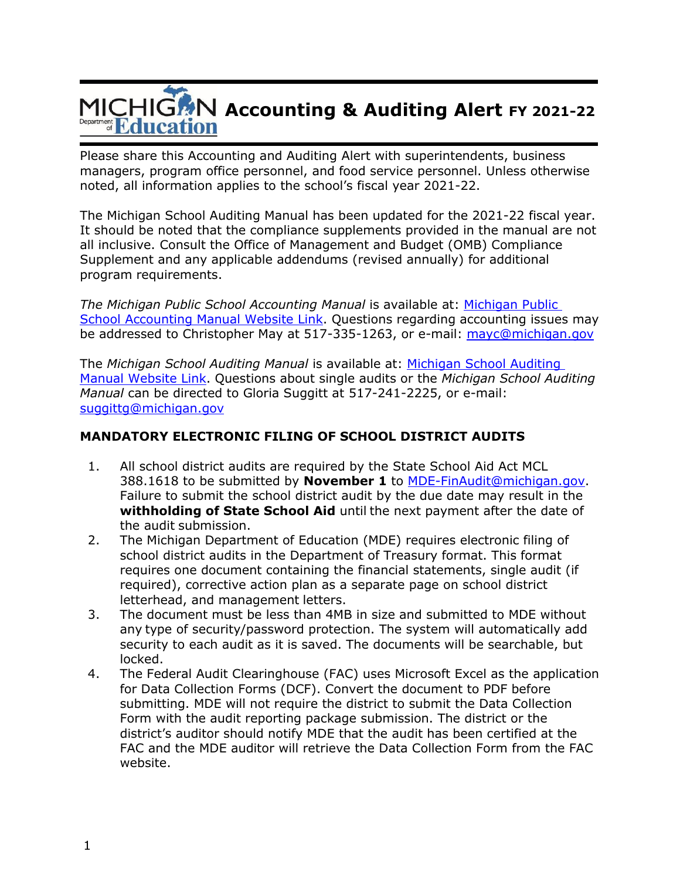# **Accounting & Auditing Alert FY 2021-22** Department **Education**

Please share this Accounting and Auditing Alert with superintendents, business managers, program office personnel, and food service personnel. Unless otherwise noted, all information applies to the school's fiscal year 2021-22.

The Michigan School Auditing Manual has been updated for the 2021-22 fiscal year. It should be noted that the compliance supplements provided in the manual are not all inclusive. Consult the Office of Management and Budget (OMB) Compliance Supplement and any applicable addendums (revised annually) for additional program requirements.

*The Michigan Public School Accounting Manual* is available at: [Michigan Public](https://www.michigan.gov/mde/services/financial-management/state-aid/michigan-public-school-accounting-manual)  [School Accounting Manual Website Link.](https://www.michigan.gov/mde/services/financial-management/state-aid/michigan-public-school-accounting-manual) Questions regarding accounting issues may be addressed to Christopher May at 517-335-1263, or e-mail: [mayc@michigan.gov](mailto:mayc@michigan.gov)

The *Michigan School Auditing Manual* is available at: [Michigan School Auditing](https://www.michigan.gov/mde/-/media/Project/Websites/mde/OFM/Audits/2021-2022-%20Michigan%20School%20Auditing%20Manual-ADA.pdf)  [Manual Website Link.](https://www.michigan.gov/mde/-/media/Project/Websites/mde/OFM/Audits/2021-2022-%20Michigan%20School%20Auditing%20Manual-ADA.pdf) Questions about single audits or the *Michigan School Auditing Manual* can be directed to Gloria Suggitt at 517-241-2225, or e-mail: [suggittg@michigan.gov](mailto:suggittg@michigan.gov)

## **MANDATORY ELECTRONIC FILING OF SCHOOL DISTRICT AUDITS**

- 1. All school district audits are required by the State School Aid Act MCL 388.1618 to be submitted by **November 1** to [MDE-FinAudit@michigan.gov.](mailto:MDE-FinAudit@michigan.gov) Failure to submit the school district audit by the due date may result in the **withholding of State School Aid** until the next payment after the date of the audit submission.
- 2. The Michigan Department of Education (MDE) requires electronic filing of school district audits in the Department of Treasury format. This format requires one document containing the financial statements, single audit (if required), corrective action plan as a separate page on school district letterhead, and management letters.
- 3. The document must be less than 4MB in size and submitted to MDE without any type of security/password protection. The system will automatically add security to each audit as it is saved. The documents will be searchable, but locked.
- 4. The Federal Audit Clearinghouse (FAC) uses Microsoft Excel as the application for Data Collection Forms (DCF). Convert the document to PDF before submitting. MDE will not require the district to submit the Data Collection Form with the audit reporting package submission. The district or the district's auditor should notify MDE that the audit has been certified at the FAC and the MDE auditor will retrieve the Data Collection Form from the FAC website.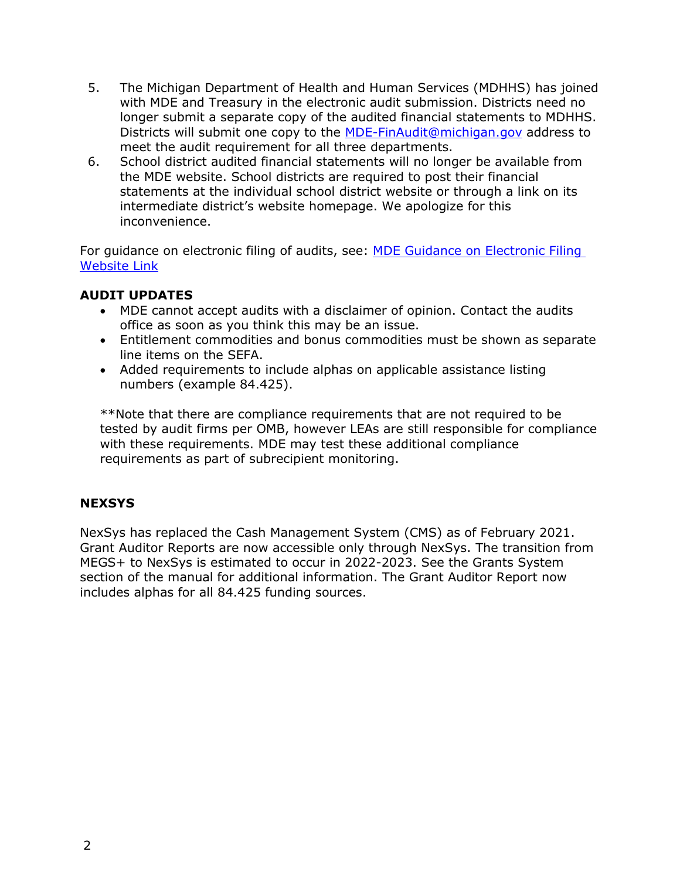- 5. The Michigan Department of Health and Human Services (MDHHS) has joined with MDE and Treasury in the electronic audit submission. Districts need no longer submit a separate copy of the audited financial statements to MDHHS. Districts will submit one copy to the [MDE-FinAudit@michigan.gov](mailto:MDE-FinAudit@michigan.gov) address to meet the audit requirement for all three departments.
- 6. School district audited financial statements will no longer be available from the MDE website. School districts are required to post their financial statements at the individual school district website or through a link on its intermediate district's website homepage. We apologize for this inconvenience.

For guidance on electronic filing of audits, see: [MDE Guidance on Electronic Filing](https://www.michigan.gov/mde/Services/financial-management/audits/guidance-on-electronic-filing-of-financial-statement-audits)  [Website Link](https://www.michigan.gov/mde/Services/financial-management/audits/guidance-on-electronic-filing-of-financial-statement-audits)

#### **AUDIT UPDATES**

- MDE cannot accept audits with a disclaimer of opinion. Contact the audits office as soon as you think this may be an issue.
- Entitlement commodities and bonus commodities must be shown as separate line items on the SEFA.
- Added requirements to include alphas on applicable assistance listing numbers (example 84.425).

\*\*Note that there are compliance requirements that are not required to be tested by audit firms per OMB, however LEAs are still responsible for compliance with these requirements. MDE may test these additional compliance requirements as part of subrecipient monitoring.

## **NEXSYS**

NexSys has replaced the Cash Management System (CMS) as of February 2021. Grant Auditor Reports are now accessible only through NexSys. The transition from MEGS+ to NexSys is estimated to occur in 2022-2023. See the Grants System section of the manual for additional information. The Grant Auditor Report now includes alphas for all 84.425 funding sources.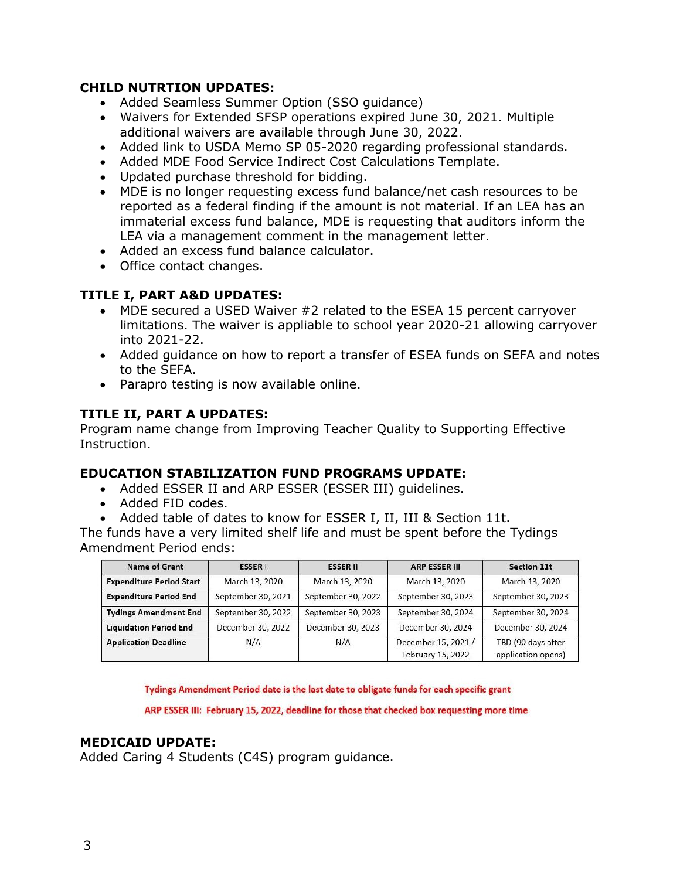#### **CHILD NUTRTION UPDATES:**

- Added Seamless Summer Option (SSO guidance)
- Waivers for Extended SFSP operations expired June 30, 2021. Multiple additional waivers are available through June 30, 2022.
- Added link to USDA Memo SP 05-2020 regarding professional standards.
- Added MDE Food Service Indirect Cost Calculations Template.
- Updated purchase threshold for bidding.
- MDE is no longer requesting excess fund balance/net cash resources to be reported as a federal finding if the amount is not material. If an LEA has an immaterial excess fund balance, MDE is requesting that auditors inform the LEA via a management comment in the management letter.
- Added an excess fund balance calculator.
- Office contact changes.

## **TITLE I, PART A&D UPDATES:**

- MDE secured a USED Waiver #2 related to the ESEA 15 percent carryover limitations. The waiver is appliable to school year 2020-21 allowing carryover into 2021-22.
- Added guidance on how to report a transfer of ESEA funds on SEFA and notes to the SEFA.
- Parapro testing is now available online.

# **TITLE II, PART A UPDATES:**

Program name change from Improving Teacher Quality to Supporting Effective Instruction.

## **EDUCATION STABILIZATION FUND PROGRAMS UPDATE:**

- Added ESSER II and ARP ESSER (ESSER III) guidelines.
- Added FID codes.
- Added table of dates to know for ESSER I, II, III & Section 11t.

The funds have a very limited shelf life and must be spent before the Tydings Amendment Period ends:

| <b>Name of Grant</b>            | <b>ESSER I</b>     | <b>ESSER II</b>    | <b>ARP ESSER III</b>                     | Section 11t                              |
|---------------------------------|--------------------|--------------------|------------------------------------------|------------------------------------------|
| <b>Expenditure Period Start</b> | March 13, 2020     | March 13, 2020     | March 13, 2020                           | March 13, 2020                           |
| <b>Expenditure Period End</b>   | September 30, 2021 | September 30, 2022 | September 30, 2023                       | September 30, 2023                       |
| <b>Tydings Amendment End</b>    | September 30, 2022 | September 30, 2023 | September 30, 2024                       | September 30, 2024                       |
| <b>Liquidation Period End</b>   | December 30, 2022  | December 30, 2023  | December 30, 2024                        | December 30, 2024                        |
| <b>Application Deadline</b>     | N/A                | N/A                | December 15, 2021 /<br>February 15, 2022 | TBD (90 days after<br>application opens) |

Tydings Amendment Period date is the last date to obligate funds for each specific grant

ARP ESSER III: February 15, 2022, deadline for those that checked box requesting more time

## **MEDICAID UPDATE:**

Added Caring 4 Students (C4S) program guidance.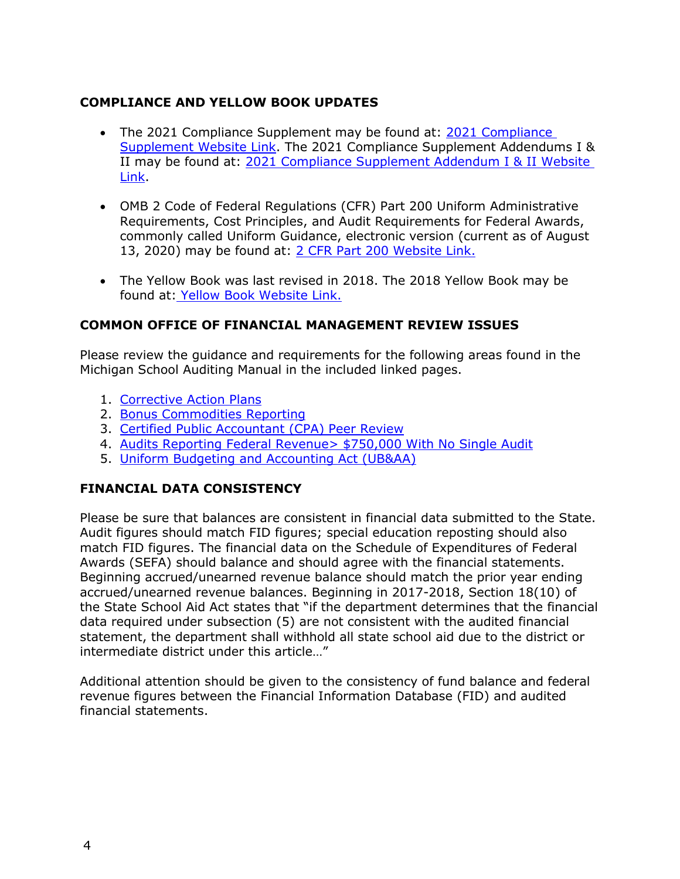## **COMPLIANCE AND YELLOW BOOK UPDATES**

- The 2021 Compliance Supplement may be found at: [2021 Compliance](https://www.whitehouse.gov/wp-content/uploads/2021/08/OMB-2021-Compliance-Supplement_Final_V2.pdf)  [Supplement Website Link.](https://www.whitehouse.gov/wp-content/uploads/2021/08/OMB-2021-Compliance-Supplement_Final_V2.pdf) The 2021 Compliance Supplement Addendums I & II may be found at: [2021 Compliance Supplement Addendum I & II Website](https://www.cfo.gov/2021-addendum-1and2/)  [Link.](https://www.cfo.gov/2021-addendum-1and2/)
- OMB 2 Code of Federal Regulations (CFR) Part 200 Uniform Administrative Requirements, Cost Principles, and Audit Requirements for Federal Awards, commonly called Uniform Guidance, electronic version (current as of August 13, 2020) may be found at: [2 CFR Part 200 Website Link.](https://ecfr.io/Title-2/Part-200)
- The Yellow Book was last revised in 2018. The 2018 Yellow Book may be found at: [Yellow Book Website Link.](https://www.gao.gov/yellowbook)

#### **COMMON OFFICE OF FINANCIAL MANAGEMENT REVIEW ISSUES**

Please review the guidance and requirements for the following areas found in the Michigan School Auditing Manual in the included linked pages.

- 1. [Corrective Action Plans](https://www.michigan.gov/mde/-/media/Project/Websites/mde/OFM/Audits/2021-2022-%20Michigan%20School%20Auditing%20Manual-ADA.pdf#page=19)
- 2. [Bonus Commodities Reporting](https://www.michigan.gov/mde/-/media/Project/Websites/mde/OFM/Audits/2021-2022-%20Michigan%20School%20Auditing%20Manual-ADA.pdf#page=15)
- 3. [Certified Public Accountant \(CPA\) Peer Review](https://www.michigan.gov/mde/-/media/Project/Websites/mde/OFM/Audits/2021-2022-%20Michigan%20School%20Auditing%20Manual-ADA.pdf#page=33)
- 4. Audits Reporting Federal [Revenue> \\$750,000 With](https://www.michigan.gov/mde/-/media/Project/Websites/mde/OFM/Audits/2021-2022-%20Michigan%20School%20Auditing%20Manual-ADA.pdf#page=8) No Single Audit
- 5. Uniform Budgeting and [Accounting](https://www.michigan.gov/mde/-/media/Project/Websites/mde/OFM/Audits/2021-2022-%20Michigan%20School%20Auditing%20Manual-ADA.pdf#page=231) Act (UB&AA)

## **FINANCIAL DATA CONSISTENCY**

Please be sure that balances are consistent in financial data submitted to the State. Audit figures should match FID figures; special education reposting should also match FID figures. The financial data on the Schedule of Expenditures of Federal Awards (SEFA) should balance and should agree with the financial statements. Beginning accrued/unearned revenue balance should match the prior year ending accrued/unearned revenue balances. Beginning in 2017-2018, Section 18(10) of the State School Aid Act states that "if the department determines that the financial data required under subsection (5) are not consistent with the audited financial statement, the department shall withhold all state school aid due to the district or intermediate district under this article…"

Additional attention should be given to the consistency of fund balance and federal revenue figures between the Financial Information Database (FID) and audited financial statements.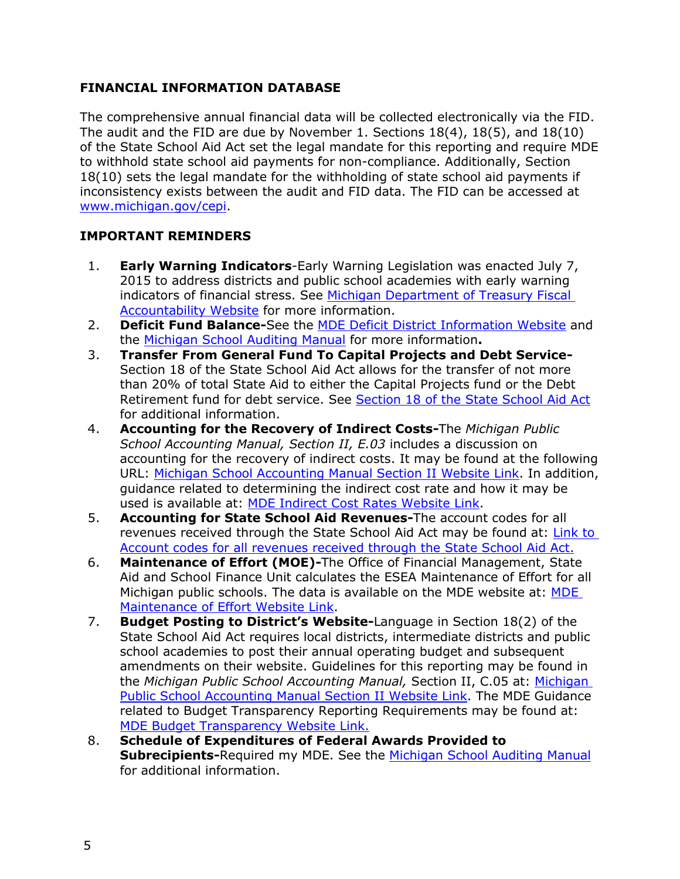## **FINANCIAL INFORMATION DATABASE**

The comprehensive annual financial data will be collected electronically via the FID. The audit and the FID are due by November 1. Sections 18(4), 18(5), and 18(10) of the State School Aid Act set the legal mandate for this reporting and require MDE to withhold state school aid payments for non-compliance. Additionally, Section 18(10) sets the legal mandate for the withholding of state school aid payments if inconsistency exists between the audit and FID data. The FID can be accessed at [www.michigan.gov/cepi.](http://www.michigan.gov/cepi)

## **IMPORTANT REMINDERS**

- 1. **Early Warning Indicators**-Early Warning Legislation was enacted July 7, 2015 to address districts and public school academies with early warning indicators of financial stress. See [Michigan Department of Treasury Fiscal](https://www.michigan.gov/treasury/0,4679,7-121-1751_74806-539486--,00.html)  [Accountability Website](https://www.michigan.gov/treasury/0,4679,7-121-1751_74806-539486--,00.html) for more information.
- 2. **Deficit Fund Balance-**See the [MDE Deficit District Information Website](https://www.michigan.gov/mde/Services/financial-management/state-aid/related-info/deficit-district-information) and the [Michigan School Auditing Manual](https://www.michigan.gov/mde/-/media/Project/Websites/mde/OFM/Audits/2021-2022-%20Michigan%20School%20Auditing%20Manual-ADA.pdf#page=224) for more information**.**
- 3. **Transfer From General Fund To Capital Projects and Debt Service-**Section 18 of the State School Aid Act allows for the transfer of not more than 20% of total State Aid to either the Capital Projects fund or the Debt Retirement fund for debt service. See [Section 18 of the State School Aid Act](http://www.legislature.mi.gov/(S(w5ndjtqyfucf12b3byv0rgk0))/mileg.aspx?page=getObject&objectName=mcl-388-1618) for additional information.
- 4. **Accounting for the Recovery of Indirect Costs-**The *Michigan Public School Accounting Manual, Section II, E.03* includes a discussion on accounting for the recovery of indirect costs. It may be found at the following URL: [Michigan School Accounting Manual Section II Website Link.](http://www.michigan.gov/documents/sc-ii_13265_7.pdf) In addition, guidance related to determining the indirect cost rate and how it may be used is available at: [MDE Indirect Cost Rates Website Link.](https://www.michigan.gov/mde/Services/financial-management/state-aid/publications/indirect-cost-rates)
- 5. **Accounting for State School Aid Revenues-**The account codes for all revenues received through the State School Aid Act may be found at: [Link to](http://www.michigan.gov/documents/saacct03_45776_7.pdf)  [Account codes for all revenues received through the State School Aid Act.](http://www.michigan.gov/documents/saacct03_45776_7.pdf)
- 6. **Maintenance of Effort (MOE)-**The Office of Financial Management, State Aid and School Finance Unit calculates the ESEA Maintenance of Effort for all Michigan public schools. The data is available on the [MDE](https://www.michigan.gov/mde/Services/financial-management/state-aid/publications/michigan-public-school-district-maintenance-of-effort) website at: MDE [Maintenance of Effort Website Link.](https://www.michigan.gov/mde/Services/financial-management/state-aid/publications/michigan-public-school-district-maintenance-of-effort)
- 7. **Budget Posting to District's Website-**Language in Section 18(2) of the State School Aid Act requires local districts, intermediate districts and public school academies to post their annual operating budget and subsequent amendments on their website. Guidelines for this reporting may be found in the *Michigan Public School Accounting Manual,* Section II, C.05 at: [Michigan](http://www.michigan.gov/documents/sc-ii_13265_7.pdf)  [Public School Accounting Manual Section II Website Link.](http://www.michigan.gov/documents/sc-ii_13265_7.pdf) The MDE Guidance related to Budget Transparency Reporting Requirements may be found at: [MDE Budget Transparency Website Link.](https://www.michigan.gov/mde/Services/financial-management/state-aid/publications/budget-and-salary-compensation-transparency-reporting)
- 8. **Schedule of Expenditures of Federal Awards Provided to Subrecipients-**Required my MDE. See the [Michigan School Auditing Manual](https://www.michigan.gov/mde/-/media/Project/Websites/mde/OFM/Audits/2021-2022-%20Michigan%20School%20Auditing%20Manual-ADA.pdf#page=24) for additional information.